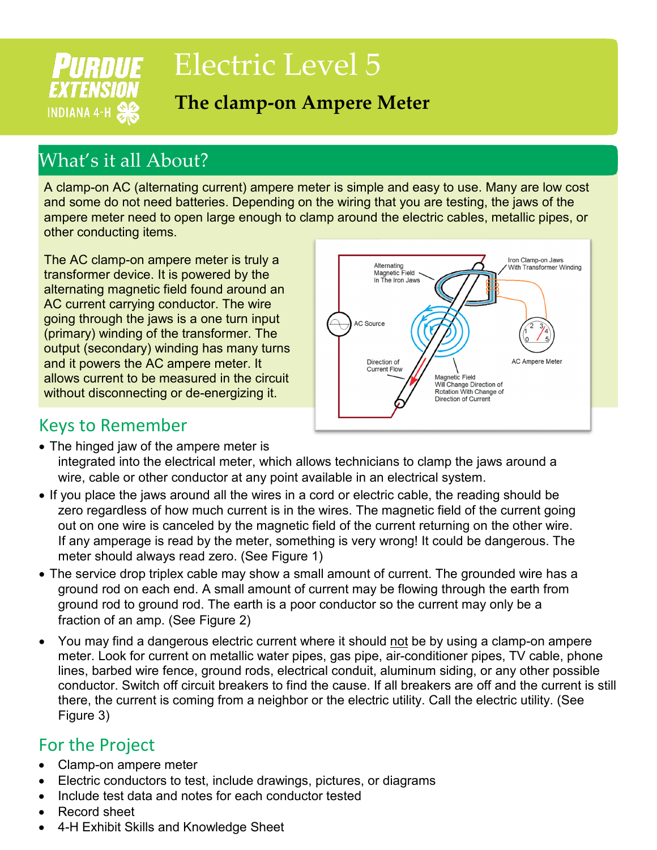# Electric Level 5

### **The clamp-on Ampere Meter**

## What's it all About?

**PURDUE** 

**EXTENSION** 

**INDIANA 4-H SE** 

A clamp-on AC (alternating current) ampere meter is simple and easy to use. Many are low cost and some do not need batteries. Depending on the wiring that you are testing, the jaws of the ampere meter need to open large enough to clamp around the electric cables, metallic pipes, or other conducting items.

The AC clamp-on ampere meter is truly a transformer device. It is powered by the alternating magnetic field found around an AC current carrying conductor. The wire going through the jaws is a one turn input (primary) winding of the transformer. The output (secondary) winding has many turns and it powers the AC ampere meter. It allows current to be measured in the circuit without disconnecting or de-energizing it.



#### Keys to Remember

- The hinged jaw of the ampere meter is integrated into the electrical meter, which allows technicians to clamp the jaws around a wire, cable or other conductor at any point available in an electrical system.
- If you place the jaws around all the wires in a cord or electric cable, the reading should be zero regardless of how much current is in the wires. The magnetic field of the current going out on one wire is canceled by the magnetic field of the current returning on the other wire. If any amperage is read by the meter, something is very wrong! It could be dangerous. The meter should always read zero. (See Figure 1)
- The service drop triplex cable may show a small amount of current. The grounded wire has a ground rod on each end. A small amount of current may be flowing through the earth from ground rod to ground rod. The earth is a poor conductor so the current may only be a fraction of an amp. (See Figure 2)
- You may find a dangerous electric current where it should not be by using a clamp-on ampere meter. Look for current on metallic water pipes, gas pipe, air-conditioner pipes, TV cable, phone lines, barbed wire fence, ground rods, electrical conduit, aluminum siding, or any other possible conductor. Switch off circuit breakers to find the cause. If all breakers are off and the current is still there, the current is coming from a neighbor or the electric utility. Call the electric utility. (See Figure 3)

#### For the Project

- Clamp-on ampere meter
- Electric conductors to test, include drawings, pictures, or diagrams
- Include test data and notes for each conductor tested
- Record sheet
- 4-H Exhibit Skills and Knowledge Sheet